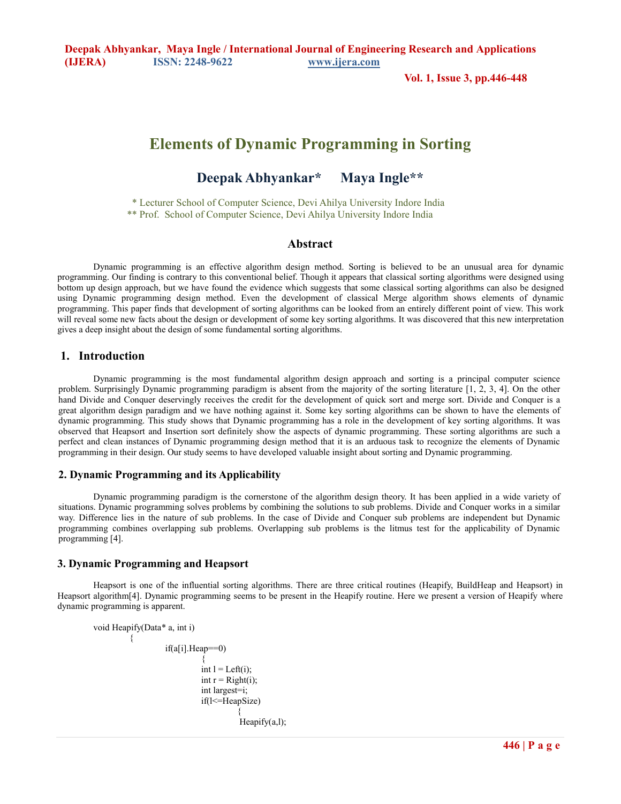**Deepak Abhyankar, Maya Ingle / International Journal of Engineering Research and Applications (IJERA) ISSN: 2248-9622 www.ijera.com** 

**Vol. 1, Issue 3, pp.446-448**

# **Elements of Dynamic Programming in Sorting**

## **Deepak Abhyankar\* Maya Ingle\*\***

 \* Lecturer School of Computer Science, Devi Ahilya University Indore India \*\* Prof. School of Computer Science, Devi Ahilya University Indore India

## **Abstract**

Dynamic programming is an effective algorithm design method. Sorting is believed to be an unusual area for dynamic programming. Our finding is contrary to this conventional belief. Though it appears that classical sorting algorithms were designed using bottom up design approach, but we have found the evidence which suggests that some classical sorting algorithms can also be designed using Dynamic programming design method. Even the development of classical Merge algorithm shows elements of dynamic programming. This paper finds that development of sorting algorithms can be looked from an entirely different point of view. This work will reveal some new facts about the design or development of some key sorting algorithms. It was discovered that this new interpretation gives a deep insight about the design of some fundamental sorting algorithms.

## **1. Introduction**

 Dynamic programming is the most fundamental algorithm design approach and sorting is a principal computer science problem. Surprisingly Dynamic programming paradigm is absent from the majority of the sorting literature [1, 2, 3, 4]. On the other hand Divide and Conquer deservingly receives the credit for the development of quick sort and merge sort. Divide and Conquer is a great algorithm design paradigm and we have nothing against it. Some key sorting algorithms can be shown to have the elements of dynamic programming. This study shows that Dynamic programming has a role in the development of key sorting algorithms. It was observed that Heapsort and Insertion sort definitely show the aspects of dynamic programming. These sorting algorithms are such a perfect and clean instances of Dynamic programming design method that it is an arduous task to recognize the elements of Dynamic programming in their design. Our study seems to have developed valuable insight about sorting and Dynamic programming.

## **2. Dynamic Programming and its Applicability**

 Dynamic programming paradigm is the cornerstone of the algorithm design theory. It has been applied in a wide variety of situations. Dynamic programming solves problems by combining the solutions to sub problems. Divide and Conquer works in a similar way. Difference lies in the nature of sub problems. In the case of Divide and Conquer sub problems are independent but Dynamic programming combines overlapping sub problems. Overlapping sub problems is the litmus test for the applicability of Dynamic programming [4].

## **3. Dynamic Programming and Heapsort**

 Heapsort is one of the influential sorting algorithms. There are three critical routines (Heapify, BuildHeap and Heapsort) in Heapsort algorithm[4]. Dynamic programming seems to be present in the Heapify routine. Here we present a version of Heapify where dynamic programming is apparent.

```
 void Heapify(Data* a, int i) 
\{ if(a[i].Heap==0) 
\{int l = Left(i);
                       int r = Right(i);
                        int largest=i; 
                       if(l <= HeapSize)
\{Heapify(a,l);
```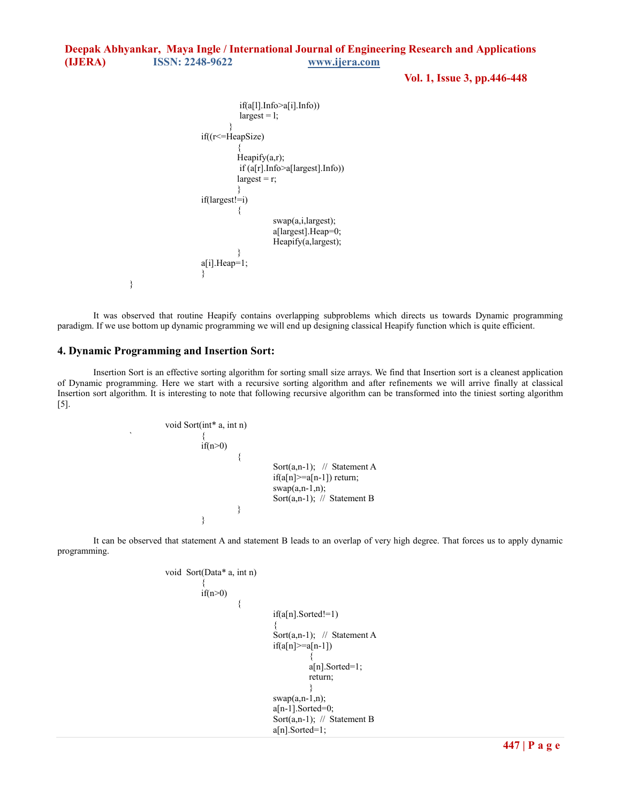```
Deepak Abhyankar, Maya Ingle / International Journal of Engineering Research and Applications 
(IJERA) ISSN: 2248-9622 www.ijera.com
```
**Vol. 1, Issue 3, pp.446-448**

```
 if(a[l].Info>a[i].Info)) 
                       largest = 1;
 } 
                   if((r<=HeapSize) 
\{Heapify(a,r);
                        if (a[r].Info>a[largest].Info)) 
                       largest = r; } 
                   if(largest!=i) 
\{ swap(a,i,largest); 
                             a[largest].Heap=0; 
                             Heapify(a,largest); 
 } 
                   a[i].Heap=1; 
 }
```
 It was observed that routine Heapify contains overlapping subproblems which directs us towards Dynamic programming paradigm. If we use bottom up dynamic programming we will end up designing classical Heapify function which is quite efficient.

## **4. Dynamic Programming and Insertion Sort:**

}

 Insertion Sort is an effective sorting algorithm for sorting small size arrays. We find that Insertion sort is a cleanest application of Dynamic programming. Here we start with a recursive sorting algorithm and after refinements we will arrive finally at classical Insertion sort algorithm. It is interesting to note that following recursive algorithm can be transformed into the tiniest sorting algorithm [5].

$$
\begin{array}{cccc}\n\text{void Sort(int* a, int n)}\\
\{\n\begin{array}{c}\n\text{if (n>0)}\\
\text{for (a, n-1); // Statement A}\\
\text{if (a[n]=a[n-1]) return;}\\
\text{swap(a, n-1, n);}\\
\text{Sort(a, n-1); // Statement B}\n\end{array}\n\end{array}
$$

 It can be observed that statement A and statement B leads to an overlap of very high degree. That forces us to apply dynamic programming.

```
 void Sort(Data* a, int n) 
\{if(n>0)\{ if(a[n].Sorted!=1) 
{z} and {z} and {z} and {z} and {z} and {z} and {z} and {z} and {z} and {z} and {z} and {z} and {z} and {z} and {z} and {z} and {z} and {z} and {z} and {z} and {z} and {z} and Sort(a,n-1); // Statement A
                                         if(a[n] > = a[n-1])\{ a[n].Sorted=1; 
 return; 
 } 
                                        swap(a,n-1,n);a[n-1]. Sorted=0;
                                         Sort(a,n-1); // Statement B
                                         a[n].Sorted=1;
```